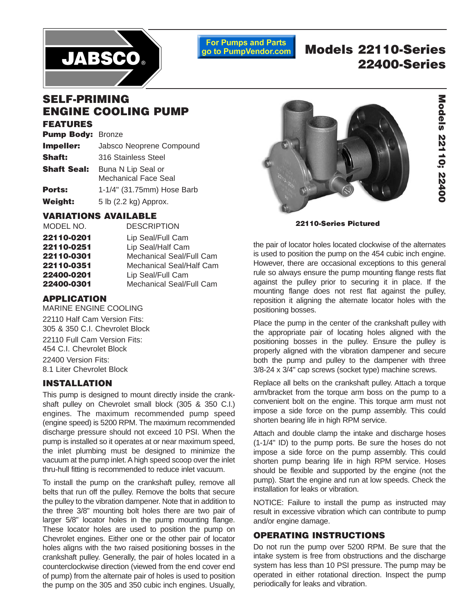

**For Pumps and Parts** go to PumpVendor.com

# **Models 22110-Series 22400-Series**

## **SELF-PRIMING ENGINE COOLING PUMP**

#### **FEATURES**

| <b>Pump Body: Bronze</b> |                                                   |  |  |  |
|--------------------------|---------------------------------------------------|--|--|--|
| Impeller:                | Jabsco Neoprene Compound                          |  |  |  |
| <b>Shaft:</b>            | 316 Stainless Steel                               |  |  |  |
| <b>Shaft Seal:</b>       | Buna N Lip Seal or<br><b>Mechanical Face Seal</b> |  |  |  |
| Ports:                   | 1-1/4" (31.75mm) Hose Barb                        |  |  |  |
| <b>Weight:</b>           | 5 lb (2.2 kg) Approx.                             |  |  |  |

### **VARIATIONS AVAILABLE**

| MODEL NO.  | <b>DESCRIPTION</b>       |
|------------|--------------------------|
| 22110-0201 | Lip Seal/Full Cam        |
| 22110-0251 | Lip Seal/Half Cam        |
| 22110-0301 | Mechanical Seal/Full Cam |
| 22110-0351 | Mechanical Seal/Half Cam |
| 22400-0201 | Lip Seal/Full Cam        |
| 22400-0301 | Mechanical Seal/Full Cam |

### **APPLICATION**

MARINE ENGINE COOLING 22110 Half Cam Version Fits: 305 & 350 C.I. Chevrolet Block 22110 Full Cam Version Fits: 454 C.I. Chevrolet Block 22400 Version Fits: 8.1 Liter Chevrolet Block

### **INSTALLATION**

This pump is designed to mount directly inside the crankshaft pulley on Chevrolet small block (305 & 350 C.I.) engines. The maximum recommended pump speed (engine speed) is 5200 RPM. The maximum recommended discharge pressure should not exceed 10 PSI. When the pump is installed so it operates at or near maximum speed, the inlet plumbing must be designed to minimize the vacuum at the pump inlet. A high speed scoop over the inlet thru-hull fitting is recommended to reduce inlet vacuum.

To install the pump on the crankshaft pulley, remove all belts that run off the pulley. Remove the bolts that secure the pulley to the vibration dampener. Note that in addition to the three 3/8" mounting bolt holes there are two pair of larger 5/8" locator holes in the pump mounting flange. These locator holes are used to position the pump on Chevrolet engines. Either one or the other pair of locator holes aligns with the two raised positioning bosses in the crankshaft pulley. Generally, the pair of holes located in a counterclockwise direction (viewed from the end cover end of pump) from the alternate pair of holes is used to position the pump on the 305 and 350 cubic inch engines. Usually,



**22110-Series Pictured**

the pair of locator holes located clockwise of the alternates is used to position the pump on the 454 cubic inch engine. However, there are occasional exceptions to this general rule so always ensure the pump mounting flange rests flat against the pulley prior to securing it in place. If the mounting flange does not rest flat against the pulley, reposition it aligning the alternate locator holes with the positioning bosses.

Place the pump in the center of the crankshaft pulley with the appropriate pair of locating holes aligned with the positioning bosses in the pulley. Ensure the pulley is properly aligned with the vibration dampener and secure both the pump and pulley to the dampener with three 3/8-24 x 3/4" cap screws (socket type) machine screws.

Replace all belts on the crankshaft pulley. Attach a torque arm/bracket from the torque arm boss on the pump to a convenient bolt on the engine. This torque arm must not impose a side force on the pump assembly. This could shorten bearing life in high RPM service.

Attach and double clamp the intake and discharge hoses (1-1/4" ID) to the pump ports. Be sure the hoses do not impose a side force on the pump assembly. This could shorten pump bearing life in high RPM service. Hoses should be flexible and supported by the engine (not the pump). Start the engine and run at low speeds. Check the installation for leaks or vibration.

NOTICE: Failure to install the pump as instructed may result in excessive vibration which can contribute to pump and/or engine damage.

### **OPERATING INSTRUCTIONS**

Do not run the pump over 5200 RPM. Be sure that the intake system is free from obstructions and the discharge system has less than 10 PSI pressure. The pump may be operated in either rotational direction. Inspect the pump periodically for leaks and vibration.